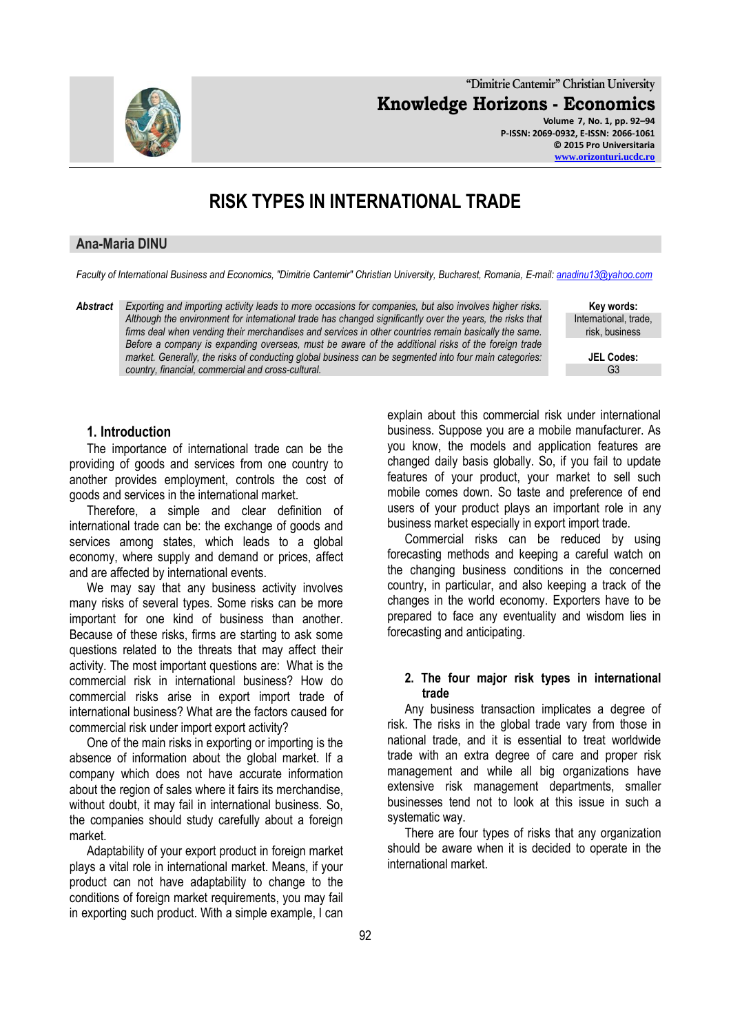

**"Dimitrie Cantemir" Christian University Knowledge Horizons - Economics Volume 7, No. 1, pp. 92–94 P-ISSN: 2069-0932, E-ISSN: 2066-1061**

**© 2015 Pro Universitaria [www.orizonturi.ucdc.ro](http://www.orizonturi.ucdc.ro/)**

# **RISK TYPES IN INTERNATIONAL TRADE**

#### **Ana-Maria DINU**

*Faculty of International Business and Economics, "Dimitrie Cantemir" Christian University, Bucharest, Romania, E-mail[: anadinu13@yahoo.co](mailto:anadinu13@yahoo.c)m*

*Abstract Exporting and importing activity leads to more occasions for companies, but also involves higher risks. Although the environment for international trade has changed significantly over the years, the risks that firms deal when vending their merchandises and services in other countries remain basically the same. Before a company is expanding overseas, must be aware of the additional risks of the foreign trade market. Generally, the risks of conducting global business can be segmented into four main categories: country, financial, commercial and cross-cultural.*

**Key words:** International, trade, risk, business

> **JEL Codes:** G3

### **1. Introduction**

The importance of international trade can be the providing of goods and services from one country to another provides employment, controls the cost of goods and services in the international market.

Therefore, a simple and clear definition of international trade can be: the exchange of goods and services among states, which leads to a global economy, where supply and demand or prices, affect and are affected by international events.

We may say that any business activity involves many risks of several types. Some risks can be more important for one kind of business than another. Because of these risks, firms are starting to ask some questions related to the threats that may affect their activity. The most important questions are: What is the commercial risk in international business? How do commercial risks arise in export import trade of international business? What are the factors caused for commercial risk under import export activity?

One of the main risks in exporting or importing is the absence of information about the global market. If a company which does not have accurate information about the region of sales where it fairs its merchandise, without doubt, it may fail in international business. So, the companies should study carefully about a foreign market.

Adaptability of your export product in foreign market plays a vital role in international market. Means, if your product can not have adaptability to change to the conditions of foreign market requirements, you may fail in exporting such product. With a simple example, I can

explain about this commercial risk under international business. Suppose you are a mobile manufacturer. As you know, the models and application features are changed daily basis globally. So, if you fail to update features of your product, your market to sell such mobile comes down. So taste and preference of end users of your product plays an important role in any business market especially in export import trade.

Commercial risks can be reduced by using forecasting methods and keeping a careful watch on the changing business conditions in the concerned country, in particular, and also keeping a track of the changes in the world economy. Exporters have to be prepared to face any eventuality and wisdom lies in forecasting and anticipating.

#### **2. The four major risk types in international trade**

Any business transaction implicates a degree of risk. The risks in the global trade vary from those in national trade, and it is essential to treat worldwide trade with an extra degree of care and proper risk management and while all big organizations have extensive risk management departments, smaller businesses tend not to look at this issue in such a systematic way.

There are four types of risks that any organization should be aware when it is decided to operate in the international market.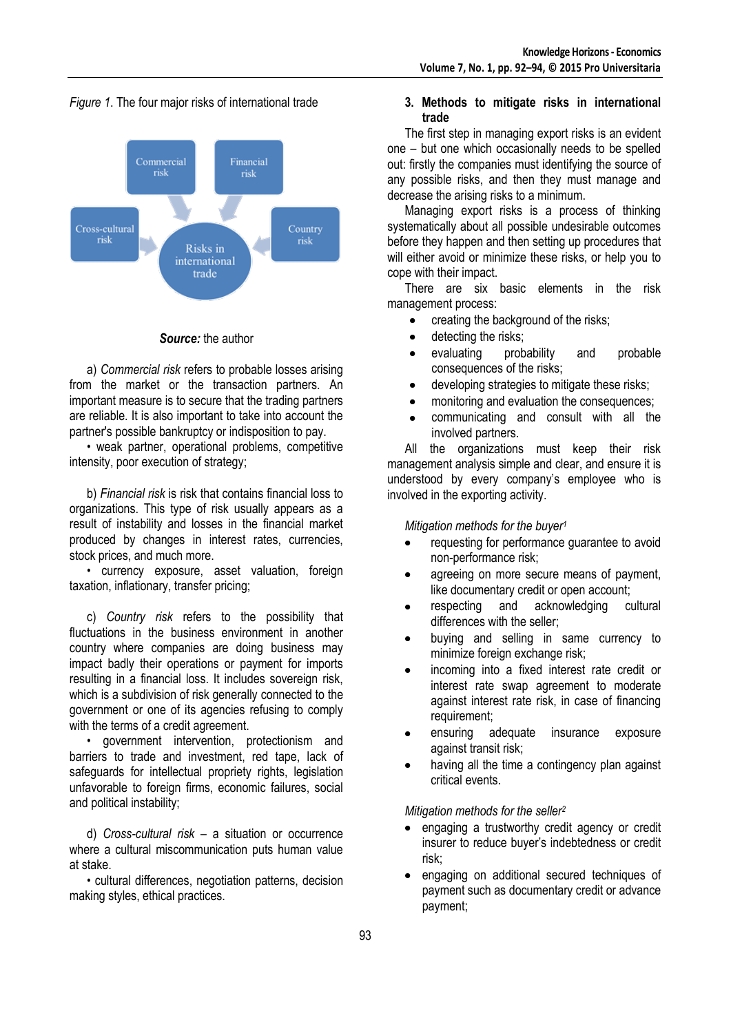*Figure 1*. The four major risks of international trade



*Source:* the author

a) *Commercial risk* refers to probable losses arising from the market or the transaction partners. An important measure is to secure that the trading partners are reliable. It is also important to take into account the partner's possible bankruptcy or indisposition to pay.

• weak partner, operational problems, competitive intensity, poor execution of strategy;

b) *Financial risk* is risk that contains financial loss to organizations. This type of risk usually appears as a result of instability and losses in the financial market produced by changes in interest rates, currencies, stock prices, and much more.

• currency exposure, asset valuation, foreign taxation, inflationary, transfer pricing;

c) *Country risk* refers to the possibility that fluctuations in the business environment in another country where companies are doing business may impact badly their operations or payment for imports resulting in a financial loss. It includes sovereign risk, which is a subdivision of risk generally connected to the government or one of its agencies refusing to comply with the terms of a credit agreement.

• government intervention, protectionism and barriers to trade and investment, red tape, lack of safeguards for intellectual propriety rights, legislation unfavorable to foreign firms, economic failures, social and political instability;

d) *Cross-cultural risk* – a situation or occurrence where a cultural miscommunication puts human value at stake.

• cultural differences, negotiation patterns, decision making styles, ethical practices.

### **3. Methods to mitigate risks in international trade**

The first step in managing export risks is an evident one – but one which occasionally needs to be spelled out: firstly the companies must identifying the source of any possible risks, and then they must manage and decrease the arising risks to a minimum.

Managing export risks is a process of thinking systematically about all possible undesirable outcomes before they happen and then setting up procedures that will either avoid or minimize these risks, or help you to cope with their impact.

There are six basic elements in the risk management process:

- creating the background of the risks;
- detecting the risks;
- evaluating probability and probable  $\bullet$ consequences of the risks;
- developing strategies to mitigate these risks;
- monitoring and evaluation the consequences;
- communicating and consult with all the involved partners.

All the organizations must keep their risk management analysis simple and clear, and ensure it is understood by every company's employee who is involved in the exporting activity.

# *Mitigation methods for the buyer<sup>1</sup>*

- requesting for performance guarantee to avoid non-performance risk;
- agreeing on more secure means of payment, like documentary credit or open account;
- respecting and acknowledging cultural differences with the seller;
- buying and selling in same currency to minimize foreign exchange risk;
- incoming into a fixed interest rate credit or interest rate swap agreement to moderate against interest rate risk, in case of financing requirement;
- ensuring adequate insurance exposure against transit risk;
- having all the time a contingency plan against critical events.

## *Mitigation methods for the seller<sup>2</sup>*

- engaging a trustworthy credit agency or credit  $\bullet$ insurer to reduce buyer's indebtedness or credit risk;
- engaging on additional secured techniques of  $\bullet$ payment such as documentary credit or advance payment;